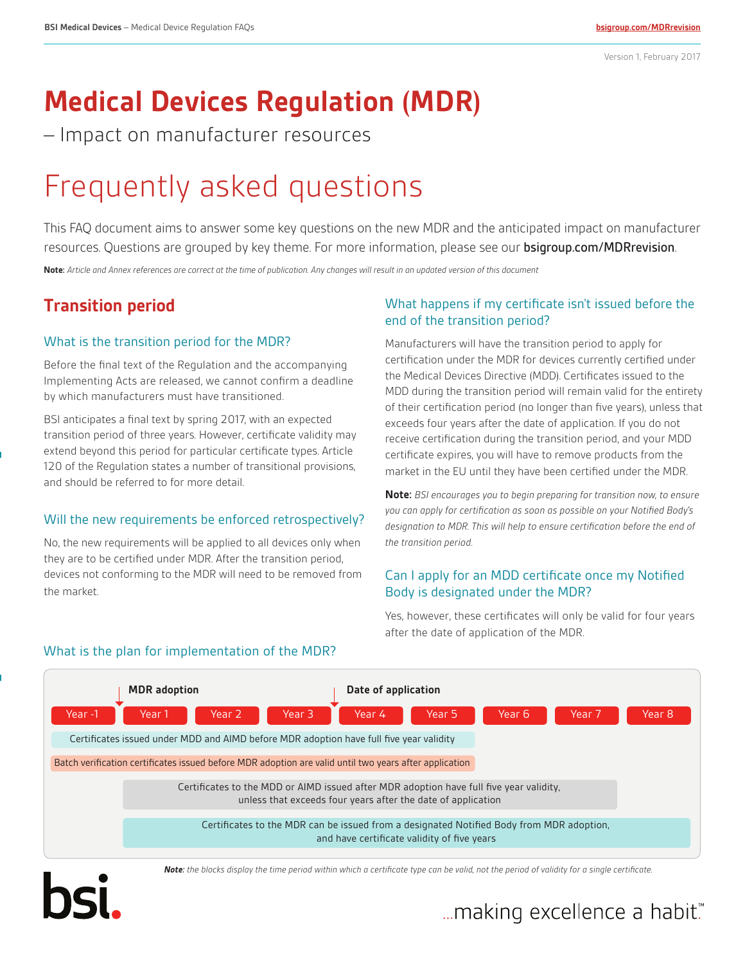# **Medical Devices Regulation (MDR)**

– Impact on manufacturer resources

# Frequently asked questions

This FAQ document aims to answer some key questions on the new MDR and the anticipated impact on manufacturer resources. Questions are grouped by key theme. For more information, please see our **[bsigroup.com/MDRrevision](https://www.bsigroup.com/en-US/medical-devices/our-services/MDR-Revision/)**.

**Note:** *Article and Annex references are correct at the time of publication. Any changes will result in an updated version of this document*

# **Transition period**

#### What is the transition period for the MDR?

Before the final text of the Regulation and the accompanying Implementing Acts are released, we cannot confirm a deadline by which manufacturers must have transitioned.

BSI anticipates a final text by spring 2017, with an expected transition period of three years. However, certificate validity may extend beyond this period for particular certificate types. Article 120 of the Regulation states a number of transitional provisions, and should be referred to for more detail.

#### Will the new requirements be enforced retrospectively?

No, the new requirements will be applied to all devices only when they are to be certified under MDR. After the transition period, devices not conforming to the MDR will need to be removed from the market.

#### What happens if my certificate isn't issued before the end of the transition period?

Manufacturers will have the transition period to apply for certification under the MDR for devices currently certified under the Medical Devices Directive (MDD). Certificates issued to the MDD during the transition period will remain valid for the entirety of their certification period (no longer than five years), unless that exceeds four years after the date of application. If you do not receive certification during the transition period, and your MDD certificate expires, you will have to remove products from the market in the EU until they have been certified under the MDR.

**Note:** *BSI encourages you to begin preparing for transition now, to ensure you can apply for certification as soon as possible on your Notified Body's designation to MDR. This will help to ensure certification before the end of the transition period*.

## Can I apply for an MDD certificate once my Notified Body is designated under the MDR?

Yes, however, these certificates will only be valid for four years after the date of application of the MDR.



## What is the plan for implementation of the MDR?

*Note: the blocks display the time period within which a certificate type can be valid, not the period of validity for a single certificate.*

# "...making excellence a habit.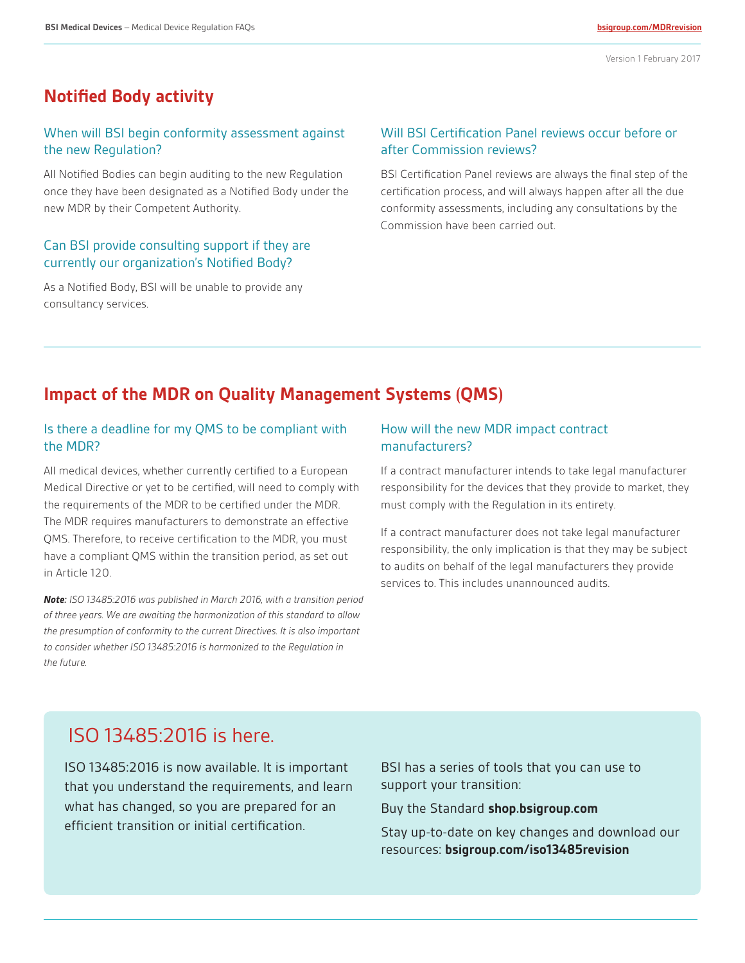## **Notified Body activity**

#### When will BSI begin conformity assessment against the new Regulation?

All Notified Bodies can begin auditing to the new Regulation once they have been designated as a Notified Body under the new MDR by their Competent Authority.

#### Can BSI provide consulting support if they are currently our organization's Notified Body?

As a Notified Body, BSI will be unable to provide any consultancy services.

#### Will BSI Certification Panel reviews occur before or after Commission reviews?

BSI Certification Panel reviews are always the final step of the certification process, and will always happen after all the due conformity assessments, including any consultations by the Commission have been carried out.

## **Impact of the MDR on Quality Management Systems (QMS)**

#### Is there a deadline for my QMS to be compliant with the MDR?

All medical devices, whether currently certified to a European Medical Directive or yet to be certified, will need to comply with the requirements of the MDR to be certified under the MDR. The MDR requires manufacturers to demonstrate an effective QMS. Therefore, to receive certification to the MDR, you must have a compliant QMS within the transition period, as set out in Article 120.

*Note: ISO 13485:2016 was published in March 2016, with a transition period of three years. We are awaiting the harmonization of this standard to allow the presumption of conformity to the current Directives. It is also important to consider whether ISO 13485:2016 is harmonized to the Regulation in the future.*

#### How will the new MDR impact contract manufacturers?

If a contract manufacturer intends to take legal manufacturer responsibility for the devices that they provide to market, they must comply with the Regulation in its entirety.

If a contract manufacturer does not take legal manufacturer responsibility, the only implication is that they may be subject to audits on behalf of the legal manufacturers they provide services to. This includes unannounced audits.

## ISO 13485:2016 is here.

ISO 13485:2016 is now available. It is important that you understand the requirements, and learn what has changed, so you are prepared for an efficient transition or initial certification.

BSI has a series of tools that you can use to support your transition:

Buy the Standard **[shop.bsigroup.com](http://shop.bsigroup.com/SearchResults/?q=iso%2013485:2016)**

Stay up-to-date on key changes and download our resources: **[bsigroup.com/iso13485revision](https://www.bsigroup.com/en-US/medical-devices/our-services/ISO-13485-Revision/)**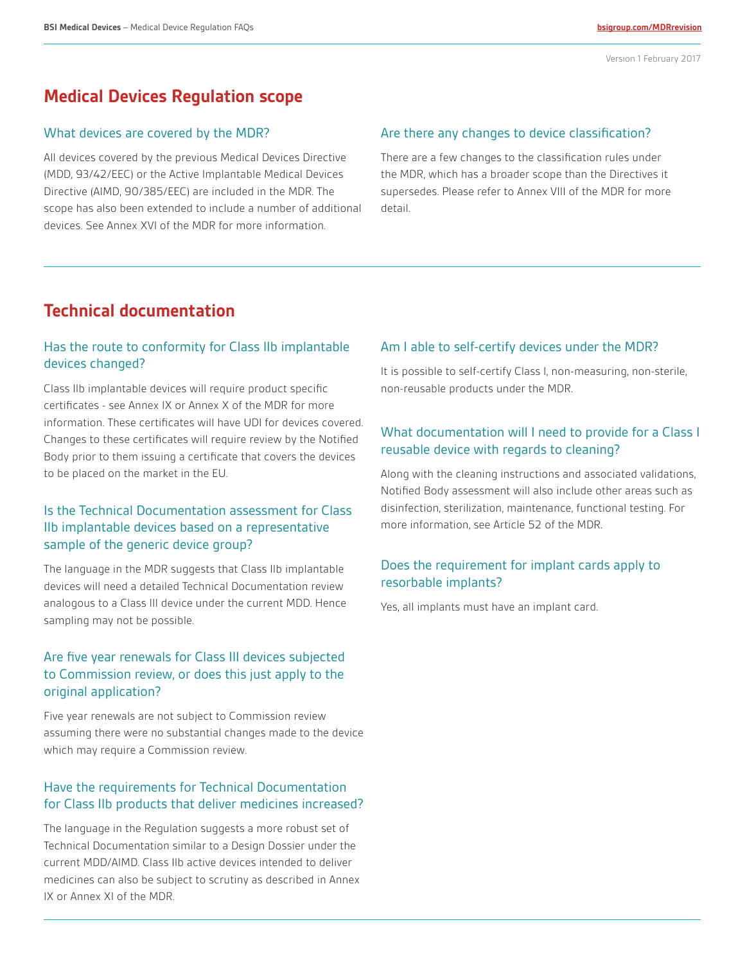## **Medical Devices Regulation scope**

#### What devices are covered by the MDR?

All devices covered by the previous Medical Devices Directive (MDD, 93/42/EEC) or the Active Implantable Medical Devices Directive (AIMD, 90/385/EEC) are included in the MDR. The scope has also been extended to include a number of additional devices. See Annex XVI of the MDR for more information.

#### Are there any changes to device classification?

There are a few changes to the classification rules under the MDR, which has a broader scope than the Directives it supersedes. Please refer to Annex VIII of the MDR for more detail.

## **Technical documentation**

#### Has the route to conformity for Class IIb implantable devices changed?

Class IIb implantable devices will require product specific certificates - see Annex IX or Annex X of the MDR for more information. These certificates will have UDI for devices covered. Changes to these certificates will require review by the Notified Body prior to them issuing a certificate that covers the devices to be placed on the market in the EU.

#### Is the Technical Documentation assessment for Class IIb implantable devices based on a representative sample of the generic device group?

The language in the MDR suggests that Class IIb implantable devices will need a detailed Technical Documentation review analogous to a Class III device under the current MDD. Hence sampling may not be possible.

#### Are five year renewals for Class III devices subjected to Commission review, or does this just apply to the original application?

Five year renewals are not subject to Commission review assuming there were no substantial changes made to the device which may require a Commission review.

#### Have the requirements for Technical Documentation for Class IIb products that deliver medicines increased?

The language in the Regulation suggests a more robust set of Technical Documentation similar to a Design Dossier under the current MDD/AIMD. Class IIb active devices intended to deliver medicines can also be subject to scrutiny as described in Annex IX or Annex XI of the MDR.

#### Am I able to self-certify devices under the MDR?

It is possible to self-certify Class I, non-measuring, non-sterile, non-reusable products under the MDR.

### What documentation will I need to provide for a Class I reusable device with regards to cleaning?

Along with the cleaning instructions and associated validations, Notified Body assessment will also include other areas such as disinfection, sterilization, maintenance, functional testing. For more information, see Article 52 of the MDR.

#### Does the requirement for implant cards apply to resorbable implants?

Yes, all implants must have an implant card.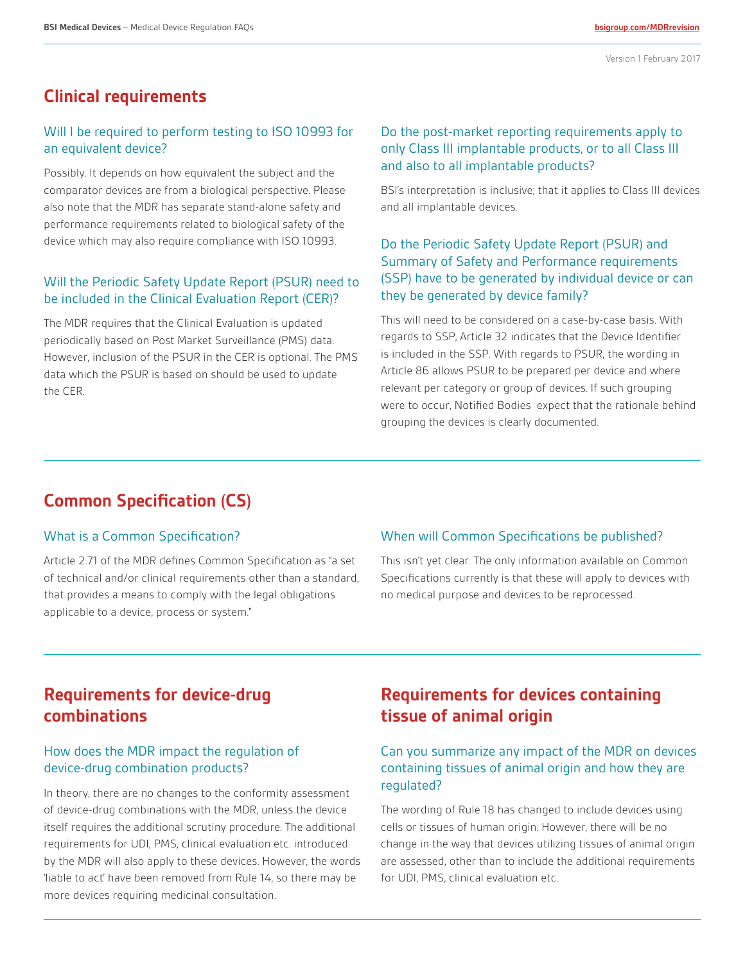## **Clinical requirements**

#### Will I be required to perform testing to ISO 10993 for an equivalent device?

Possibly. It depends on how equivalent the subject and the comparator devices are from a biological perspective. Please also note that the MDR has separate stand-alone safety and performance requirements related to biological safety of the device which may also require compliance with ISO 10993.

#### Will the Periodic Safety Update Report (PSUR) need to be included in the Clinical Evaluation Report (CER)?

The MDR requires that the Clinical Evaluation is updated periodically based on Post Market Surveillance (PMS) data. However, inclusion of the PSUR in the CER is optional. The PMS data which the PSUR is based on should be used to update the CER.

#### Do the post-market reporting requirements apply to only Class III implantable products, or to all Class III and also to all implantable products?

BSI's interpretation is inclusive; that it applies to Class III devices and all implantable devices.

## Do the Periodic Safety Update Report (PSUR) and Summary of Safety and Performance requirements (SSP) have to be generated by individual device or can they be generated by device family?

This will need to be considered on a case-by-case basis. With regards to SSP, Article 32 indicates that the Device Identifier is included in the SSP. With regards to PSUR, the wording in Article 86 allows PSUR to be prepared per device and where relevant per category or group of devices. If such grouping were to occur, Notified Bodies expect that the rationale behind grouping the devices is clearly documented.

# **Common Specification (CS)**

#### What is a Common Specification?

Article 2.71 of the MDR defines Common Specification as "a set of technical and/or clinical requirements other than a standard, that provides a means to comply with the legal obligations applicable to a device, process or system."

#### When will Common Specifications be published?

This isn't yet clear. The only information available on Common Specifications currently is that these will apply to devices with no medical purpose and devices to be reprocessed.

## **Requirements for device-drug combinations**

#### How does the MDR impact the regulation of device-drug combination products?

In theory, there are no changes to the conformity assessment of device-drug combinations with the MDR, unless the device itself requires the additional scrutiny procedure. The additional requirements for UDI, PMS, clinical evaluation etc. introduced by the MDR will also apply to these devices. However, the words 'liable to act' have been removed from Rule 14, so there may be more devices requiring medicinal consultation.

## **Requirements for devices containing tissue of animal origin**

### Can you summarize any impact of the MDR on devices containing tissues of animal origin and how they are regulated?

The wording of Rule 18 has changed to include devices using cells or tissues of human origin. However, there will be no change in the way that devices utilizing tissues of animal origin are assessed, other than to include the additional requirements for UDI, PMS, clinical evaluation etc.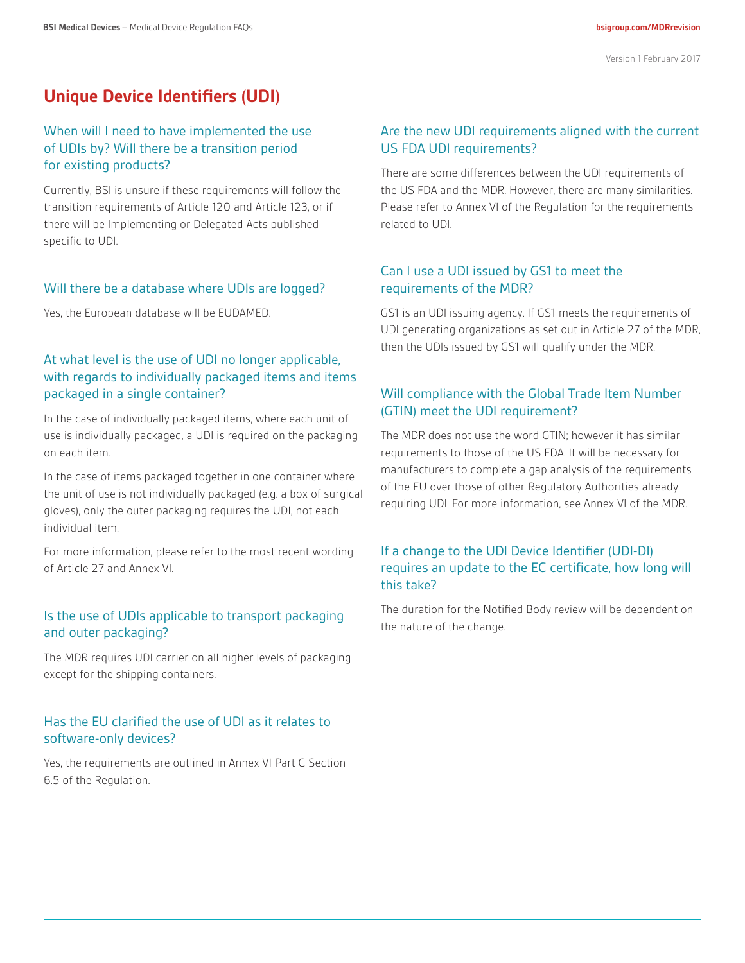## **Unique Device Identifiers (UDI)**

#### When will I need to have implemented the use of UDIs by? Will there be a transition period for existing products?

Currently, BSI is unsure if these requirements will follow the transition requirements of Article 120 and Article 123, or if there will be Implementing or Delegated Acts published specific to UDI.

#### Will there be a database where UDIs are logged?

Yes, the European database will be EUDAMED.

### At what level is the use of UDI no longer applicable, with regards to individually packaged items and items packaged in a single container?

In the case of individually packaged items, where each unit of use is individually packaged, a UDI is required on the packaging on each item.

In the case of items packaged together in one container where the unit of use is not individually packaged (e.g. a box of surgical gloves), only the outer packaging requires the UDI, not each individual item.

For more information, please refer to the most recent wording of Article 27 and Annex VI.

#### Is the use of UDIs applicable to transport packaging and outer packaging?

The MDR requires UDI carrier on all higher levels of packaging except for the shipping containers.

#### Has the EU clarified the use of UDI as it relates to software-only devices?

Yes, the requirements are outlined in Annex VI Part C Section 6.5 of the Regulation.

#### Are the new UDI requirements aligned with the current US FDA UDI requirements?

There are some differences between the UDI requirements of the US FDA and the MDR. However, there are many similarities. Please refer to Annex VI of the Regulation for the requirements related to UDI.

#### Can I use a UDI issued by GS1 to meet the requirements of the MDR?

GS1 is an UDI issuing agency. If GS1 meets the requirements of UDI generating organizations as set out in Article 27 of the MDR, then the UDIs issued by GS1 will qualify under the MDR.

## Will compliance with the Global Trade Item Number (GTIN) meet the UDI requirement?

The MDR does not use the word GTIN; however it has similar requirements to those of the US FDA. It will be necessary for manufacturers to complete a gap analysis of the requirements of the EU over those of other Regulatory Authorities already requiring UDI. For more information, see Annex VI of the MDR.

## If a change to the UDI Device Identifier (UDI-DI) requires an update to the EC certificate, how long will this take?

The duration for the Notified Body review will be dependent on the nature of the change.